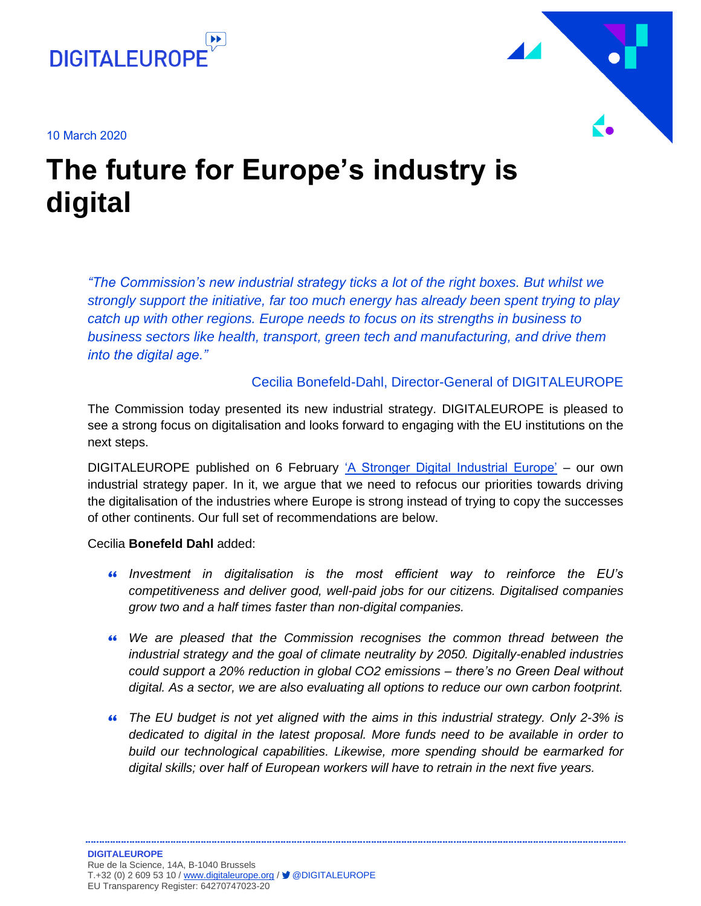





## **The future for Europe's industry is digital**

*"The Commission's new industrial strategy ticks a lot of the right boxes. But whilst we strongly support the initiative, far too much energy has already been spent trying to play catch up with other regions. Europe needs to focus on its strengths in business to business sectors like health, transport, green tech and manufacturing, and drive them into the digital age."*

#### Cecilia Bonefeld-Dahl, Director-General of DIGITALEUROPE

The Commission today presented its new industrial strategy. DIGITALEUROPE is pleased to see a strong focus on digitalisation and looks forward to engaging with the EU institutions on the next steps.

DIGITALEUROPE published on 6 February ['A Stronger Digital Industrial Europe'](https://www.digitaleurope.org/?post_type=policy&p=9161&preview=true/) – our own industrial strategy paper. In it, we argue that we need to refocus our priorities towards driving the digitalisation of the industries where Europe is strong instead of trying to copy the successes of other continents. Our full set of recommendations are below.

Cecilia **Bonefeld Dahl** added:

- *Investment in digitalisation is the most efficient way to reinforce the EU's competitiveness and deliver good, well-paid jobs for our citizens. Digitalised companies grow two and a half times faster than non-digital companies.*
- *We are pleased that the Commission recognises the common thread between the industrial strategy and the goal of climate neutrality by 2050. Digitally-enabled industries could support a 20% reduction in global CO2 emissions – there's no Green Deal without digital. As a sector, we are also evaluating all options to reduce our own carbon footprint.*
- *The EU budget is not yet aligned with the aims in this industrial strategy. Only 2-3% is dedicated to digital in the latest proposal. More funds need to be available in order to build our technological capabilities. Likewise, more spending should be earmarked for digital skills; over half of European workers will have to retrain in the next five years.*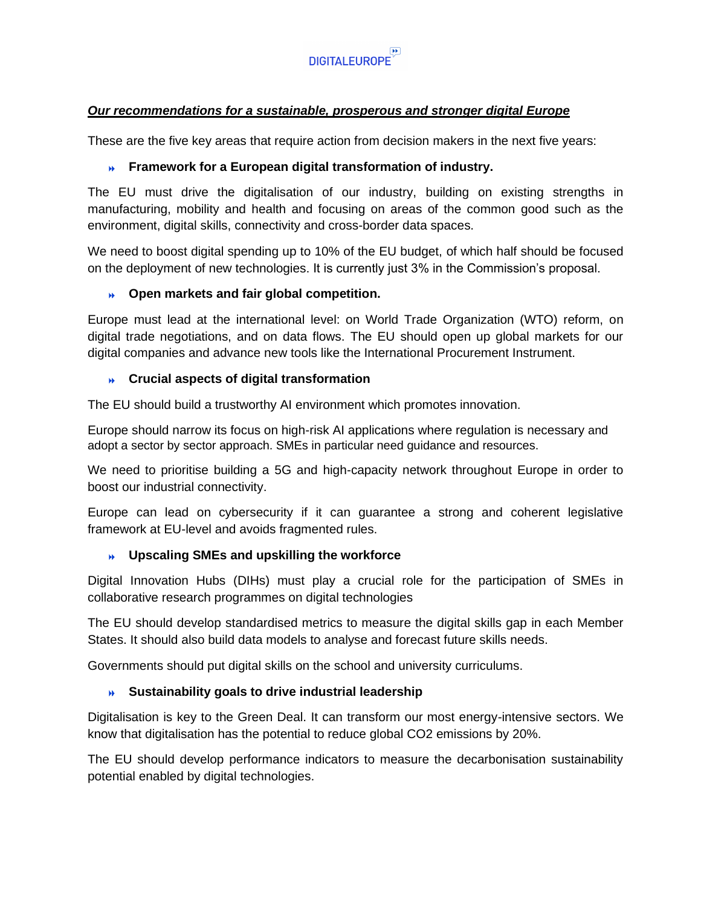

#### *Our recommendations for a sustainable, prosperous and stronger digital Europe*

These are the five key areas that require action from decision makers in the next five years:

#### **Framework for a European digital transformation of industry.**

The EU must drive the digitalisation of our industry, building on existing strengths in manufacturing, mobility and health and focusing on areas of the common good such as the environment, digital skills, connectivity and cross-border data spaces.

We need to boost digital spending up to 10% of the EU budget, of which half should be focused on the deployment of new technologies. It is currently just 3% in the Commission's proposal.

#### **Open markets and fair global competition.**

Europe must lead at the international level: on World Trade Organization (WTO) reform, on digital trade negotiations, and on data flows. The EU should open up global markets for our digital companies and advance new tools like the International Procurement Instrument.

#### **Crucial aspects of digital transformation**

The EU should build a trustworthy AI environment which promotes innovation.

Europe should narrow its focus on high-risk AI applications where regulation is necessary and adopt a sector by sector approach. SMEs in particular need guidance and resources.

We need to prioritise building a 5G and high-capacity network throughout Europe in order to boost our industrial connectivity.

Europe can lead on cybersecurity if it can guarantee a strong and coherent legislative framework at EU-level and avoids fragmented rules.

#### **Upscaling SMEs and upskilling the workforce**

Digital Innovation Hubs (DIHs) must play a crucial role for the participation of SMEs in collaborative research programmes on digital technologies

The EU should develop standardised metrics to measure the digital skills gap in each Member States. It should also build data models to analyse and forecast future skills needs.

Governments should put digital skills on the school and university curriculums.

#### **Sustainability goals to drive industrial leadership**

Digitalisation is key to the Green Deal. It can transform our most energy-intensive sectors. We know that digitalisation has the potential to reduce global CO2 emissions by 20%.

The EU should develop performance indicators to measure the decarbonisation sustainability potential enabled by digital technologies.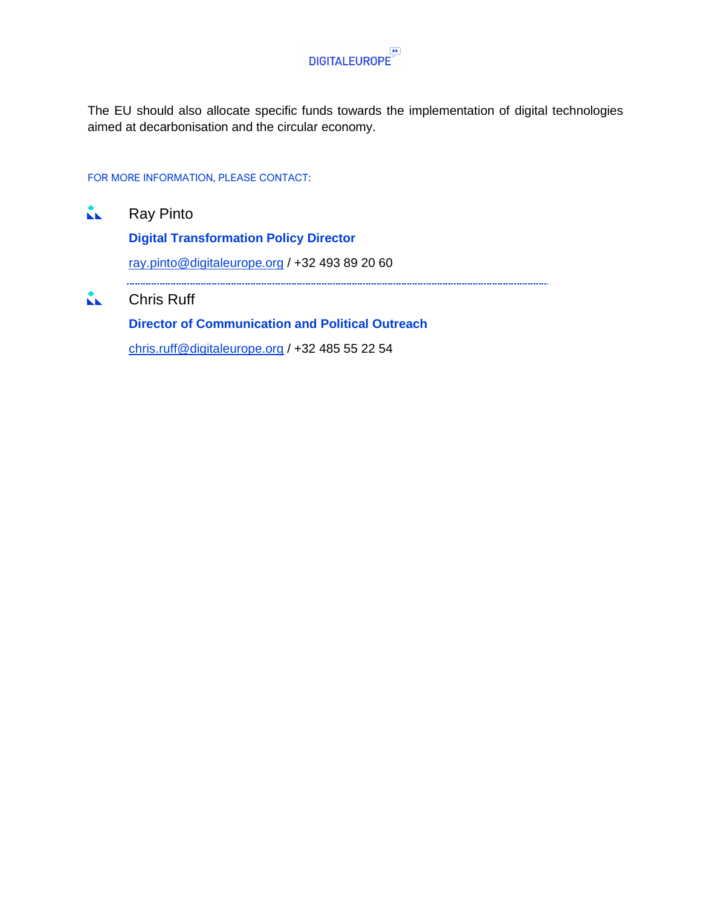

The EU should also allocate specific funds towards the implementation of digital technologies aimed at decarbonisation and the circular economy.

#### FOR MORE INFORMATION, PLEASE CONTACT:

 $\mathbf{A}$ Ray Pinto **Digital Transformation Policy Director** [ray.pinto@digitaleurope.org](mailto:ray.pinto@digitaleurope.org) / +32 493 89 20 60  $\mathbf{L}$ Chris Ruff **Director of Communication and Political Outreach**

[chris.ruff@digitaleurope.org](mailto:chris.ruff@digitaleurope.org) / +32 485 55 22 54